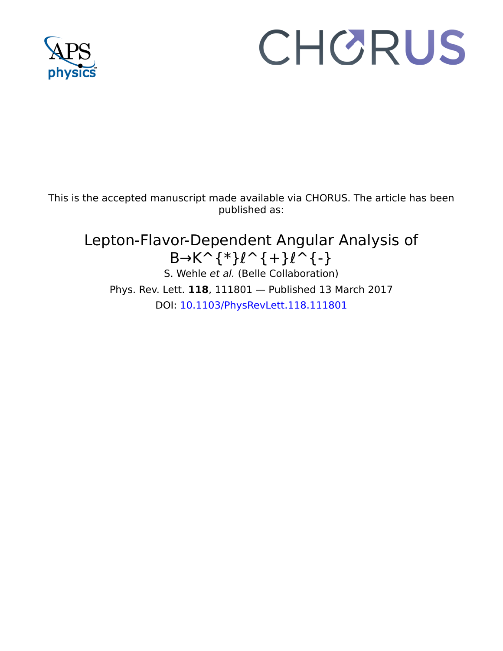

## CHORUS

This is the accepted manuscript made available via CHORUS. The article has been published as:

## Lepton-Flavor-Dependent Angular Analysis of  $B\rightarrow K^{\frown}$ {\*} $\ell^{\frown}$ {+} $\ell^{\frown}$ {-} S. Wehle et al. (Belle Collaboration) Phys. Rev. Lett. **118**, 111801 — Published 13 March 2017 DOI: [10.1103/PhysRevLett.118.111801](http://dx.doi.org/10.1103/PhysRevLett.118.111801)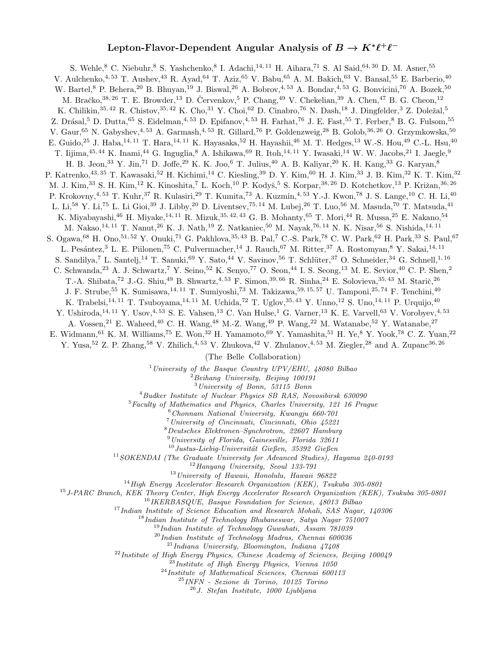## Lepton-Flavor-Dependent Angular Analysis of  $B \to K^* \ell^+ \ell^-$

S. Wehle, <sup>8</sup> C. Niebuhr, <sup>8</sup> S. Yashchenko, <sup>8</sup> I. Adachi, <sup>14, 11</sup> H. Aihara, <sup>71</sup> S. Al Said, <sup>64, 30</sup> D. M. Asner, <sup>55</sup> V. Aulchenko, <sup>4, 53</sup> T. Aushev, <sup>43</sup> R. Ayad, <sup>64</sup> T. Aziz, <sup>65</sup> V. Babu, <sup>65</sup> A. M. Bakich, <sup>63</sup> V. Bansal, <sup>55</sup> E. Barberio, <sup>40</sup> W. Bartel,<sup>8</sup> P. Behera,<sup>20</sup> B. Bhuyan,<sup>19</sup> J. Biswal,<sup>26</sup> A. Bobrov,<sup>4,53</sup> A. Bondar,<sup>4,53</sup> G. Bonvicini,<sup>76</sup> A. Bozek,<sup>50</sup> M. Bračko,<sup>38, 26</sup> T. E. Browder,<sup>13</sup> D. Červenkov, <sup>5</sup> P. Chang, <sup>49</sup> V. Chekelian, <sup>39</sup> A. Chen, <sup>47</sup> B. G. Cheon, <sup>12</sup> K. Chilikin,  $35, 42$  R. Chistov,  $35, 42$  K. Cho,  $31$  Y. Choi,  $62$  D. Cinabro,  $76$  N. Dash,  $18$  J. Dingfelder,  $3$  Z. Doležal,  $5$ Z. Drásal,<sup>5</sup> D. Dutta,<sup>65</sup> S. Eidelman,<sup>4,53</sup> D. Epifanov,<sup>4,53</sup> H. Farhat,<sup>76</sup> J. E. Fast,<sup>55</sup> T. Ferber,<sup>8</sup> B. G. Fulsom,<sup>55</sup> V. Gaur, <sup>65</sup> N. Gabyshev, <sup>4, 53</sup> A. Garmash, <sup>4, 53</sup> R. Gillard, <sup>76</sup> P. Goldenzweig, <sup>28</sup> B. Golob, <sup>36, 26</sup> O. Grzymkowska, <sup>50</sup> E. Guido,<sup>25</sup> J. Haba,<sup>14, 11</sup> T. Hara,<sup>14, 11</sup> K. Hayasaka,<sup>52</sup> H. Hayashii,<sup>46</sup> M. T. Hedges,<sup>13</sup> W.-S. Hou,<sup>49</sup> C.-L. Hsu,<sup>40</sup> T. Iijima,  $45,44$  K. Inami,  $44$  G. Inguglia,  $8$  A. Ishikawa,  $69$  R. Itoh,  $14,11$  Y. Iwasaki,  $14$  W. W. Jacobs,  $21$  I. Jaegle,  $9$ H. B. Jeon,<sup>33</sup> Y. Jin,<sup>71</sup> D. Joffe,<sup>29</sup> K. K. Joo,<sup>6</sup> T. Julius,<sup>40</sup> A. B. Kaliyar,<sup>20</sup> K. H. Kang,<sup>33</sup> G. Karyan,<sup>8</sup> P. Katrenko,<sup>43, 35</sup> T. Kawasaki,<sup>52</sup> H. Kichimi,<sup>14</sup> C. Kiesling,<sup>39</sup> D. Y. Kim,<sup>60</sup> H. J. Kim,<sup>33</sup> J. B. Kim,<sup>32</sup> K. T. Kim,<sup>32</sup> M. J. Kim,<sup>33</sup> S. H. Kim,<sup>12</sup> K. Kinoshita,<sup>7</sup> L. Koch,<sup>10</sup> P. Kodyš,<sup>5</sup> S. Korpar,<sup>38, 26</sup> D. Kotchetkov,<sup>13</sup> P. Križan,<sup>36, 26</sup> P. Krokovny,<sup>4, 53</sup> T. Kuhr,<sup>37</sup> R. Kulasiri,<sup>29</sup> T. Kumita,<sup>73</sup> A. Kuzmin,<sup>4, 53</sup> Y.-J. Kwon,<sup>78</sup> J. S. Lange,<sup>10</sup> C. H. Li,<sup>40</sup> L. Li,<sup>58</sup> Y. Li,<sup>75</sup> L. Li Gioi,<sup>39</sup> J. Libby,<sup>20</sup> D. Liventsev,<sup>75, 14</sup> M. Lubej,<sup>26</sup> T. Luo,<sup>56</sup> M. Masuda,<sup>70</sup> T. Matsuda,<sup>41</sup> K. Miyabayashi,<sup>46</sup> H. Miyake,<sup>14, 11</sup> R. Mizuk,<sup>35, 42, 43</sup> G. B. Mohanty,<sup>65</sup> T. Mori,<sup>44</sup> R. Mussa,<sup>25</sup> E. Nakano,<sup>54</sup> M. Nakao,<sup>14, 11</sup> T. Nanut,<sup>26</sup> K. J. Nath,<sup>19</sup> Z. Natkaniec,<sup>50</sup> M. Nayak,<sup>76, 14</sup> N. K. Nisar,<sup>56</sup> S. Nishida,<sup>14, 11</sup> S. Ogawa, <sup>68</sup> H. Ono, <sup>51, 52</sup> Y. Onuki, <sup>71</sup> G. Pakhlova, <sup>35, 43</sup> B. Pal, <sup>7</sup> C.-S. Park, <sup>78</sup> C. W. Park, <sup>62</sup> H. Park, <sup>33</sup> S. Paul, <sup>67</sup> L. Pesántez,<sup>3</sup> L. E. Piilonen,<sup>75</sup> C. Pulvermacher,<sup>14</sup> J. Rauch,<sup>67</sup> M. Ritter,<sup>37</sup> A. Rostomyan,<sup>8</sup> Y. Sakai,<sup>14, 11</sup> S. Sandilya,<sup>7</sup> L. Santelj,<sup>14</sup> T. Sanuki,<sup>69</sup> Y. Sato,<sup>44</sup> V. Savinov,<sup>56</sup> T. Schlüter,<sup>37</sup> O. Schneider,<sup>34</sup> G. Schnell,<sup>1, 16</sup> C. Schwanda,<sup>23</sup> A. J. Schwartz,<sup>7</sup> Y. Seino,<sup>52</sup> K. Senyo,<sup>77</sup> O. Seon,<sup>44</sup> I. S. Seong,<sup>13</sup> M. E. Sevior,<sup>40</sup> C. P. Shen,<sup>2</sup> T.-A. Shibata,<sup>72</sup> J.-G. Shiu,<sup>49</sup> B. Shwartz,<sup>4,53</sup> F. Simon,<sup>39,66</sup> R. Sinha,<sup>24</sup> E. Solovieva,<sup>35,43</sup> M. Starič,<sup>26</sup> J. F. Strube,<sup>55</sup> K. Sumisawa,<sup>14, 11</sup> T. Sumiyoshi,<sup>73</sup> M. Takizawa,<sup>59, 15, 57</sup> U. Tamponi,<sup>25, 74</sup> F. Tenchini,<sup>40</sup> K. Trabelsi,<sup>14, 11</sup> T. Tsuboyama,<sup>14, 11</sup> M. Uchida,<sup>72</sup> T. Uglov,<sup>35, 43</sup> Y. Unno,<sup>12</sup> S. Uno,<sup>14, 11</sup> P. Urquijo,<sup>40</sup> Y. Ushiroda,<sup>14, 11</sup> Y. Usov,<sup>4, 53</sup> S. E. Vahsen,<sup>13</sup> C. Van Hulse,<sup>1</sup> G. Varner,<sup>13</sup> K. E. Varvell,<sup>63</sup> V. Vorobyev,<sup>4, 53</sup> A. Vossen,<sup>21</sup> E. Waheed,<sup>40</sup> C. H. Wang,<sup>48</sup> M.-Z. Wang,<sup>49</sup> P. Wang,<sup>22</sup> M. Watanabe,<sup>52</sup> Y. Watanabe,<sup>27</sup> E. Widmann,<sup>61</sup> K. M. Williams,<sup>75</sup> E. Won,<sup>32</sup> H. Yamamoto,<sup>69</sup> Y. Yamashita,<sup>51</sup> H. Ye,<sup>8</sup> Y. Yook,<sup>78</sup> C. Z. Yuan,<sup>22</sup> Y. Yusa,<sup>52</sup> Z. P. Zhang,<sup>58</sup> V. Zhilich,<sup>4, 53</sup> V. Zhukova,<sup>42</sup> V. Zhulanov,<sup>4, 53</sup> M. Ziegler,<sup>28</sup> and A. Zupanc<sup>36, 26</sup>

(The Belle Collaboration)

<sup>1</sup> University of the Basque Country  $UPV/EHU$ , 48080 Bilbao

 $2$ Beihang University, Beijing 100191

<sup>3</sup>University of Bonn, 53115 Bonn

<sup>4</sup>Budker Institute of Nuclear Physics SB RAS, Novosibirsk 630090

<sup>5</sup>Faculty of Mathematics and Physics, Charles University, 121 16 Prague

 $6$ Chonnam National University, Kwangju 660-701

<sup>7</sup>University of Cincinnati, Cincinnati, Ohio 45221

<sup>8</sup>Deutsches Elektronen–Synchrotron, 22607 Hamburg

 $9$ University of Florida, Gainesville, Florida 32611  $10$  Justus-Liebig-Universität Gießen, 35392 Gießen

 $11$ SOKENDAI (The Graduate University for Advanced Studies), Hayama  $240-0193$ 

 $12$ Hanyang University, Seoul 133-791

<sup>13</sup>University of Hawaii, Honolulu, Hawaii 96822

<sup>14</sup> High Energy Accelerator Research Organization (KEK), Tsukuba 305-0801

<sup>15</sup>J-PARC Branch, KEK Theory Center, High Energy Accelerator Research Organization (KEK), Tsukuba 305-0801

<sup>16</sup>IKERBASQUE, Basque Foundation for Science, 48013 Bilbao

<sup>17</sup> Indian Institute of Science Education and Research Mohali, SAS Nagar, 140306

 $18$ Indian Institute of Technology Bhubaneswar, Satya Nagar  $751007$ 

<sup>19</sup>Indian Institute of Technology Guwahati, Assam 781039

 $^{20}$ Indian Institute of Technology Madras, Chennai 600036

 $^{21}$ Indiana University, Bloomington, Indiana  $47408$ 

 $22$ Institute of High Energy Physics, Chinese Academy of Sciences, Beijing 100049

 $^{23}$ Institute of High Energy Physics, Vienna 1050

<sup>24</sup>Institute of Mathematical Sciences, Chennai 600113

<sup>25</sup>INFN - Sezione di Torino, 10125 Torino

 $26J.$  Stefan Institute, 1000 Ljubljana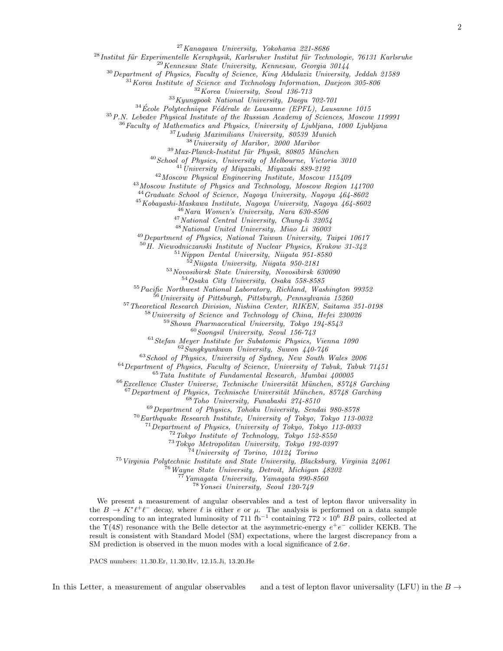Kanagawa University, Yokohama 221-8686

 $^{28}$ Institut für Experimentelle Kernphysik, Karlsruher Institut für Technologie, 76131 Karlsruhe

Kennesaw State University, Kennesaw, Georgia 30144

Department of Physics, Faculty of Science, King Abdulaziz University, Jeddah 21589

Korea Institute of Science and Technology Information, Daejeon 305-806

Korea University, Seoul 136-713

 $33Kyungpook National University, Daegu 702-701$ 

École Polytechnique Fédérale de Lausanne (EPFL), Lausanne 1015

P.N. Lebedev Physical Institute of the Russian Academy of Sciences, Moscow 119991

Faculty of Mathematics and Physics, University of Ljubljana, 1000 Ljubljana

Ludwig Maximilians University, 80539 Munich

University of Maribor, 2000 Maribor

Max-Planck-Institut für Physik, 80805 München

 $^{40}$ School of Physics, University of Melbourne, Victoria 3010

<sup>41</sup>University of Miyazaki, Miyazaki 889-2192

Moscow Physical Engineering Institute, Moscow 115409

Moscow Institute of Physics and Technology, Moscow Region 141700

Graduate School of Science, Nagoya University, Nagoya 464-8602

Kobayashi-Maskawa Institute, Nagoya University, Nagoya 464-8602

Nara Women's University, Nara 630-8506

National Central University, Chung-li 32054

National United University, Miao Li 36003

Department of Physics, National Taiwan University, Taipei 10617

H. Niewodniczanski Institute of Nuclear Physics, Krakow 31-342

Nippon Dental University, Niigata 951-8580

Niigata University, Niigata 950-2181

Novosibirsk State University, Novosibirsk 630090

Osaka City University, Osaka 558-8585

Pacific Northwest National Laboratory, Richland, Washington 99352

University of Pittsburgh, Pittsburgh, Pennsylvania 15260

Theoretical Research Division, Nishina Center, RIKEN, Saitama 351-0198

University of Science and Technology of China, Hefei 230026

Showa Pharmaceutical University, Tokyo 194-8543

Soongsil University, Seoul 156-743

Stefan Meyer Institute for Subatomic Physics, Vienna 1090

Sungkyunkwan University, Suwon 440-746

School of Physics, University of Sydney, New South Wales  $2006$ 

Department of Physics, Faculty of Science, University of Tabuk, Tabuk 71451

Tata Institute of Fundamental Research, Mumbai 400005

Excellence Cluster Universe, Technische Universität München, 85748 Garching

Department of Physics, Technische Universität München, 85748 Garching

Toho University, Funabashi 274-8510

Department of Physics, Tohoku University, Sendai 980-8578

Earthquake Research Institute, University of Tokyo, Tokyo 113-0032

Department of Physics, University of Tokyo, Tokyo 113-0033

Tokyo Institute of Technology, Tokyo 152-8550

Tokyo Metropolitan University, Tokyo 192-0397

University of Torino, 10124 Torino

 $^{75}$ Virginia Polytechnic Institute and State University, Blacksburg, Virginia 24061

Wayne State University, Detroit, Michigan 48202

Yamagata University, Yamagata 990-8560

Yonsei University, Seoul 120-749

We present a measurement of angular observables and a test of lepton flavor universality in the  $B \to K^* \ell^+ \ell^-$  decay, where  $\ell$  is either e or  $\mu$ . The analysis is performed on a data sample corresponding to an integrated luminosity of 711 fb<sup>-1</sup> containing  $772 \times 10^6$  BB pairs, collected at the  $\Upsilon(4S)$  resonance with the Belle detector at the asymmetric-energy  $e^+e^-$  collider KEKB. The result is consistent with Standard Model (SM) expectations, where the largest discrepancy from a SM prediction is observed in the muon modes with a local significance of  $2.6\sigma$ .

PACS numbers: 11.30.Er, 11.30.Hv, 12.15.Ji, 13.20.He

In this Letter, a measurement of angular observables and a test of lepton flavor universality (LFU) in the  $B \to$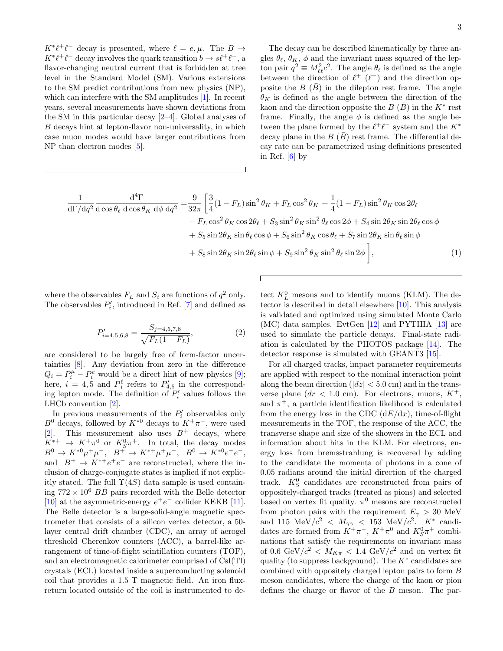$K^*\ell^+\ell^-$  decay is presented, where  $\ell = e, \mu$ . The  $B \to$ 

 $K^*\ell^+\ell^-$  decay involves the quark transition  $b \to s\ell^+\ell^-$ , a flavor-changing neutral current that is forbidden at tree level in the Standard Model (SM). Various extensions to the SM predict contributions from new physics (NP), which can interfere with the SM amplitudes [\[1\]](#page-6-0). In recent years, several measurements have shown deviations from the SM in this particular decay  $[2-4]$ . Global analyses of B decays hint at lepton-flavor non-universality, in which case muon modes would have larger contributions from NP than electron modes [\[5\]](#page-6-3).

The decay can be described kinematically by three angles  $\theta_{\ell}, \theta_{K}, \phi$  and the invariant mass squared of the lepton pair  $q^2 \equiv M_{\ell\ell}^2 c^2$ . The angle  $\theta_\ell$  is defined as the angle between the direction of  $\ell^+$  ( $\ell^-$ ) and the direction opposite the  $B(\bar{B})$  in the dilepton rest frame. The angle  $\theta_K$  is defined as the angle between the direction of the kaon and the direction opposite the  $B(\bar{B})$  in the  $K^*$  rest frame. Finally, the angle  $\phi$  is defined as the angle between the plane formed by the  $\ell^+\ell^-$  system and the  $K^*$ decay plane in the  $B(\bar{B})$  rest frame. The differential decay rate can be parametrized using definitions presented in Ref.  $[6]$  by

$$
\frac{1}{d\Gamma/dq^2} \frac{d^4\Gamma}{d\cos\theta_\ell d\cos\theta_K d\phi dq^2} = \frac{9}{32\pi} \left[ \frac{3}{4} (1 - F_L) \sin^2\theta_K + F_L \cos^2\theta_K + \frac{1}{4} (1 - F_L) \sin^2\theta_K \cos 2\theta_\ell - F_L \cos^2\theta_K \cos 2\theta_\ell + S_3 \sin^2\theta_K \sin^2\theta_\ell \cos 2\phi + S_4 \sin 2\theta_K \sin 2\theta_\ell \cos \phi + S_5 \sin 2\theta_K \sin \theta_\ell \cos \phi + S_6 \sin^2\theta_K \cos \theta_\ell + S_7 \sin 2\theta_K \sin \theta_\ell \sin \phi + S_8 \sin 2\theta_K \sin 2\theta_\ell \sin \phi + S_9 \sin^2\theta_K \sin^2\theta_\ell \sin 2\phi \right],
$$
\n(1)

where the observables  $F_L$  and  $S_i$  are functions of  $q^2$  only. The observables  $P'_i$ , introduced in Ref. [\[7\]](#page-6-5) and defined as

$$
P'_{i=4,5,6,8} = \frac{S_{j=4,5,7,8}}{\sqrt{F_L(1 - F_L)}},\tag{2}
$$

are considered to be largely free of form-factor uncertainties [\[8\]](#page-6-6). Any deviation from zero in the difference  $Q_i = P_i^{\mu} - P_i^e$  would be a direct hint of new physics [\[9\]](#page-7-0); here,  $i = 4, 5$  and  $P_i^{\ell}$  refers to  $P_{4,5}^{\prime}$  in the corresponding lepton mode. The definition of  $P'_i$  values follows the LHCb convention [\[2\]](#page-6-1).

In previous measurements of the  $P'_i$  observables only  $B^0$  decays, followed by  $K^{*0}$  decays to  $K^+\pi^-$ , were used [\[2\]](#page-6-1). This measurement also uses  $B^+$  decays, where  $K^{*+}$   $\rightarrow$   $K^+\pi^0$  or  $K^0_S\pi^+$ . In total, the decay modes  $B^0 \to K^{*0} \mu^+ \mu^-$ ,  $B^+ \to K^{*+} \mu^+ \mu^-$ ,  $B^0 \to K^{*0} e^+ e^-$ , and  $B^+ \to K^{*+}e^+e^-$  are reconstructed, where the inclusion of charge-conjugate states is implied if not explicitly stated. The full  $\Upsilon(4S)$  data sample is used containing  $772 \times 10^6$   $B\overline{B}$  pairs recorded with the Belle detector [\[10\]](#page-7-1) at the asymmetric-energy  $e^+e^-$  collider KEKB [\[11\]](#page-7-2). The Belle detector is a large-solid-angle magnetic spectrometer that consists of a silicon vertex detector, a 50 layer central drift chamber (CDC), an array of aerogel threshold Cherenkov counters (ACC), a barrel-like arrangement of time-of-flight scintillation counters (TOF), and an electromagnetic calorimeter comprised of CsI(Tl) crystals (ECL) located inside a superconducting solenoid coil that provides a 1.5 T magnetic field. An iron fluxreturn located outside of the coil is instrumented to de-

<span id="page-3-0"></span>tect  $K_L^0$  mesons and to identify muons (KLM). The detector is described in detail elsewhere [\[10\]](#page-7-1). This analysis is validated and optimized using simulated Monte Carlo (MC) data samples. EvtGen [\[12\]](#page-7-3) and PYTHIA [\[13\]](#page-7-4) are used to simulate the particle decays. Final-state radiation is calculated by the PHOTOS package [\[14\]](#page-7-5). The detector response is simulated with GEANT3 [\[15\]](#page-7-6).

For all charged tracks, impact parameter requirements are applied with respect to the nominal interaction point along the beam direction  $(|dz| < 5.0 \text{ cm})$  and in the transverse plane  $(dr < 1.0$  cm). For electrons, muons,  $K^+$ , and  $\pi^+$ , a particle identification likelihood is calculated from the energy loss in the CDC  $(dE/dx)$ , time-of-flight measurements in the TOF, the response of the ACC, the transverse shape and size of the showers in the ECL and information about hits in the KLM. For electrons, energy loss from bremsstrahlung is recovered by adding to the candidate the momenta of photons in a cone of 0.05 radians around the initial direction of the charged track.  $K_S^0$  candidates are reconstructed from pairs of oppositely-charged tracks (treated as pions) and selected based on vertex fit quality.  $\pi^0$  mesons are reconstructed from photon pairs with the requirement  $E_{\gamma} > 30$  MeV and 115 MeV/ $c^2$  <  $M_{\gamma\gamma}$  < 153 MeV/ $c^2$ . K<sup>\*</sup> candidates are formed from  $K^+\pi^-$ ,  $K^+\pi^0$  and  $K^0_S\pi^+$  combinations that satisfy the requirements on invariant mass of 0.6 GeV/ $c^2$  <  $M_{K\pi}$  < 1.4 GeV/ $c^2$  and on vertex fit quality (to suppress background). The  $K^*$  candidates are combined with oppositely charged lepton pairs to form B meson candidates, where the charge of the kaon or pion defines the charge or flavor of the B meson. The par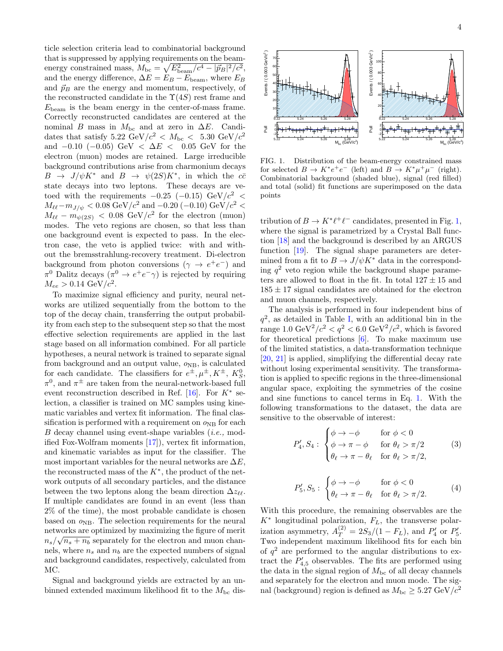ticle selection criteria lead to combinatorial background that is suppressed by applying requirements on the beamenergy constrained mass,  $M_{\text{bc}} = \sqrt{E_{\text{beam}}^2/c^4 - |\vec{p}_B|^2/c^2}$ , and the energy difference,  $\Delta E = E_B - E_{\rm beam}$ , where  $E_B$ and  $\vec{p}_B$  are the energy and momentum, respectively, of the reconstructed candidate in the  $\Upsilon(4S)$  rest frame and  $E_{\text{beam}}$  is the beam energy in the center-of-mass frame. Correctly reconstructed candidates are centered at the nominal B mass in  $M<sub>bc</sub>$  and at zero in  $\Delta E$ . Candidates that satisfy 5.22 GeV/ $c^2$  <  $M_{\text{bc}}$  < 5.30 GeV/ $c^2$ and  $-0.10$  ( $-0.05$ ) GeV <  $\Delta E$  < 0.05 GeV for the electron (muon) modes are retained. Large irreducible background contributions arise from charmonium decays  $B \to J/\psi K^*$  and  $B \to \psi(2S)K^*$ , in which the  $c\bar{c}$ state decays into two leptons. These decays are vetoed with the requirements  $-0.25$  ( $-0.15$ ) GeV/ $c^2$  <  $M_{\ell\ell}-m_{J/\psi} < 0.08 \text{ GeV}/c^2$  and  $-0.20 (-0.10) \text{ GeV}/c^2 <$  $M_{\ell\ell} - m_{\psi(2S)} < 0.08$  GeV/ $c^2$  for the electron (muon) modes. The veto regions are chosen, so that less than one background event is expected to pass. In the electron case, the veto is applied twice: with and without the bremsstrahlung-recovery treatment. Di-electron background from photon conversions ( $\gamma \rightarrow e^+e^-$ ) and  $\pi^0$  Dalitz decays  $(\pi^0 \to e^+e^- \gamma)$  is rejected by requiring  $M_{ee} > 0.14 \text{ GeV}/c^2$ .

To maximize signal efficiency and purity, neural networks are utilized sequentially from the bottom to the top of the decay chain, transferring the output probability from each step to the subsequent step so that the most effective selection requirements are applied in the last stage based on all information combined. For all particle hypotheses, a neural network is trained to separate signal from background and an output value,  $o_{NB}$ , is calculated for each candidate. The classifiers for  $e^{\pm}, \mu^{\pm}, K^{\pm}, K^0_S$ ,  $\pi^0$ , and  $\pi^{\pm}$  are taken from the neural-network-based full event reconstruction described in Ref. [\[16\]](#page-7-7). For  $K^*$  selection, a classifier is trained on MC samples using kinematic variables and vertex fit information. The final classification is performed with a requirement on  $\rho_{\text{NB}}$  for each B decay channel using event-shape variables (i.e., modified Fox-Wolfram moments [\[17\]](#page-7-8)), vertex fit information, and kinematic variables as input for the classifier. The most important variables for the neural networks are  $\Delta E$ , the reconstructed mass of the  $K^*$ , the product of the network outputs of all secondary particles, and the distance between the two leptons along the beam direction  $\Delta z_{\ell\ell}$ . If multiple candidates are found in an event (less than 2% of the time), the most probable candidate is chosen based on  $\rho_{\text{NB}}$ . The selection requirements for the neural networks are optimized by maximizing the figure of merit  $n_s/\sqrt{n_s+n_b}$  separately for the electron and muon channels, where  $n_s$  and  $n_b$  are the expected numbers of signal and background candidates, respectively, calculated from MC.

Signal and background yields are extracted by an unbinned extended maximum likelihood fit to the  $M_{\rm bc}$  dis-



<span id="page-4-0"></span>FIG. 1. Distribution of the beam-energy constrained mass for selected  $B \to K^* e^+ e^-$  (left) and  $B \to K^* \mu^+ \mu^-$  (right). Combinatorial background (shaded blue), signal (red filled) and total (solid) fit functions are superimposed on the data points

tribution of  $B \to K^* \ell^+ \ell^-$  candidates, presented in Fig. [1,](#page-4-0) where the signal is parametrized by a Crystal Ball function [\[18\]](#page-7-9) and the background is described by an ARGUS function [\[19\]](#page-7-10). The signal shape parameters are determined from a fit to  $B \to J/\psi K^*$  data in the corresponding  $q^2$  veto region while the background shape parameters are allowed to float in the fit. In total  $127 \pm 15$  and  $185 \pm 17$  signal candidates are obtained for the electron and muon channels, respectively.

The analysis is performed in four independent bins of  $q^2$ , as detailed in Table [I,](#page-6-7) with an additional bin in the range  $1.0 \text{ GeV}^2/c^2 < q^2 < 6.0 \text{ GeV}^2/c^2$ , which is favored for theoretical predictions  $[6]$ . To make maximum use of the limited statistics, a data-transformation technique [\[20,](#page-7-11) [21\]](#page-7-12) is applied, simplifying the differential decay rate without losing experimental sensitivity. The transformation is applied to specific regions in the three-dimensional angular space, exploiting the symmetries of the cosine and sine functions to cancel terms in Eq. [1.](#page-3-0) With the following transformations to the dataset, the data are sensitive to the observable of interest:

$$
P'_4, S_4: \begin{cases} \phi \to -\phi & \text{for } \phi < 0\\ \phi \to \pi - \phi & \text{for } \theta_\ell > \pi/2\\ \theta_\ell \to \pi - \theta_\ell & \text{for } \theta_\ell > \pi/2, \end{cases} \tag{3}
$$

$$
P'_5, S_5: \begin{cases} \phi \to -\phi & \text{for } \phi < 0\\ \theta_\ell \to \pi - \theta_\ell & \text{for } \theta_\ell > \pi/2. \end{cases} \tag{4}
$$

With this procedure, the remaining observables are the  $K^*$  longitudinal polarization,  $F_L$ , the transverse polarization asymmetry,  $A_T^{(2)} = 2S_3/(1 - F_L)$ , and  $P'_4$  or  $P'_5$ . Two independent maximum likelihood fits for each bin of  $q^2$  are performed to the angular distributions to extract the  $P'_{4,5}$  observables. The fits are performed using the data in the signal region of  $M_{\text{bc}}$  of all decay channels and separately for the electron and muon mode. The signal (background) region is defined as  $M_{\text{bc}} \geq 5.27 \text{ GeV}/c^2$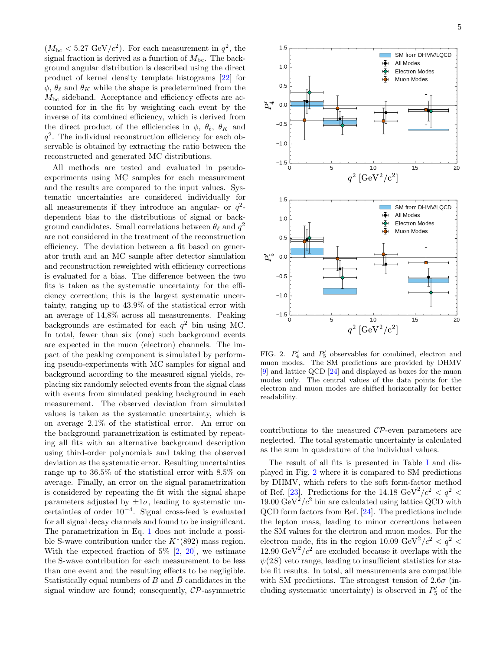$(M_{\rm bc} < 5.27 \text{ GeV}/c^2)$ . For each measurement in  $q^2$ , the signal fraction is derived as a function of  $M_{\text{bc}}$ . The background angular distribution is described using the direct product of kernel density template histograms [\[22\]](#page-7-13) for  $\phi$ ,  $\theta_{\ell}$  and  $\theta_K$  while the shape is predetermined from the  $M<sub>bc</sub>$  sideband. Acceptance and efficiency effects are accounted for in the fit by weighting each event by the inverse of its combined efficiency, which is derived from the direct product of the efficiencies in  $\phi$ ,  $\theta_{\ell}$ ,  $\theta_K$  and q 2 . The individual reconstruction efficiency for each observable is obtained by extracting the ratio between the reconstructed and generated MC distributions.

All methods are tested and evaluated in pseudoexperiments using MC samples for each measurement and the results are compared to the input values. Systematic uncertainties are considered individually for all measurements if they introduce an angular- or  $q^2$ dependent bias to the distributions of signal or background candidates. Small correlations between  $\theta_{\ell}$  and  $q^2$ are not considered in the treatment of the reconstruction efficiency. The deviation between a fit based on generator truth and an MC sample after detector simulation and reconstruction reweighted with efficiency corrections is evaluated for a bias. The difference between the two fits is taken as the systematic uncertainty for the efficiency correction; this is the largest systematic uncertainty, ranging up to 43.9% of the statistical error with an average of 14,8% across all measurements. Peaking backgrounds are estimated for each  $q^2$  bin using MC. In total, fewer than six (one) such background events are expected in the muon (electron) channels. The impact of the peaking component is simulated by performing pseudo-experiments with MC samples for signal and background according to the measured signal yields, replacing six randomly selected events from the signal class with events from simulated peaking background in each measurement. The observed deviation from simulated values is taken as the systematic uncertainty, which is on average 2.1% of the statistical error. An error on the background parametrization is estimated by repeating all fits with an alternative background description using third-order polynomials and taking the observed deviation as the systematic error. Resulting uncertainties range up to 36.5% of the statistical error with 8.5% on average. Finally, an error on the signal parametrization is considered by repeating the fit with the signal shape parameters adjusted by  $\pm 1\sigma$ , leading to systematic uncertainties of order 10<sup>−</sup><sup>4</sup> . Signal cross-feed is evaluated for all signal decay channels and found to be insignificant. The parametrization in Eq. [1](#page-3-0) does not include a possible S-wave contribution under the  $K^*(892)$  mass region. With the expected fraction of  $5\%$   $[2, 20]$  $[2, 20]$ , we estimate the S-wave contribution for each measurement to be less than one event and the resulting effects to be negligible. Statistically equal numbers of B and  $\bar{B}$  candidates in the signal window are found; consequently,  $\mathcal{CP}$ -asymmetric



<span id="page-5-0"></span>FIG. 2.  $P'_4$  and  $P'_5$  observables for combined, electron and muon modes. The SM predictions are provided by DHMV [\[9\]](#page-7-0) and lattice QCD [\[24\]](#page-7-14) and displayed as boxes for the muon modes only. The central values of the data points for the electron and muon modes are shifted horizontally for better readability.

contributions to the measured  $\mathcal{CP}$ -even parameters are neglected. The total systematic uncertainty is calculated as the sum in quadrature of the individual values.

The result of all fits is presented in Table [I](#page-6-7) and displayed in Fig. [2](#page-5-0) where it is compared to SM predictions by DHMV, which refers to the soft form-factor method of Ref. [\[23\]](#page-7-15). Predictions for the 14.18  $\text{GeV}^2/c^2 < q^2 <$ 19.00  $\text{GeV}^2/c^2$  bin are calculated using lattice QCD with QCD form factors from Ref. [\[24\]](#page-7-14). The predictions include the lepton mass, leading to minor corrections between the SM values for the electron and muon modes. For the electron mode, fits in the region 10.09  $\text{GeV}^2/c^2 < q^2 <$ 12.90 GeV<sup>2</sup>/ $c^2$  are excluded because it overlaps with the  $\psi(2S)$  veto range, leading to insufficient statistics for stable fit results. In total, all measurements are compatible with SM predictions. The strongest tension of  $2.6\sigma$  (including systematic uncertainty) is observed in  $P'_5$  of the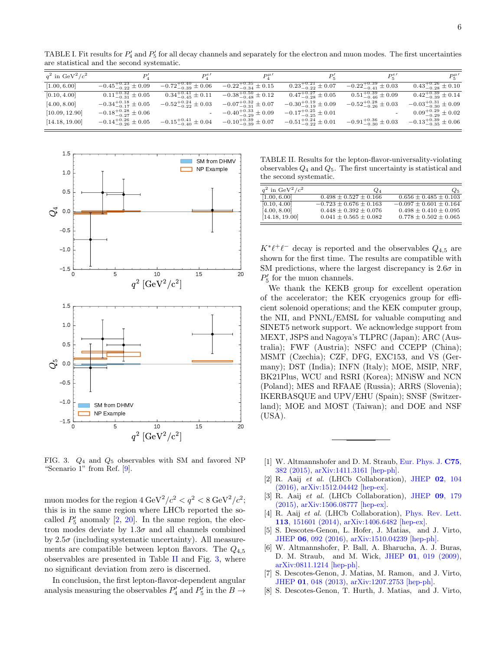<span id="page-6-7"></span>TABLE I. Fit results for  $P'_4$  and  $P'_5$  for all decay channels and separately for the electron and muon modes. The first uncertainties are statistical and the second systematic.

| $q^2$ in GeV <sup>2</sup> / $c^2$ |                                  | $P_4^{e}$                       |                                                                   | $P_{\kappa}$                     | $P_{\kappa}^{e}$                 | $P_{\kappa}^{\mu}$               |
|-----------------------------------|----------------------------------|---------------------------------|-------------------------------------------------------------------|----------------------------------|----------------------------------|----------------------------------|
| [1.00, 6.00]                      | $-0.45^{+0.23}_{-0.22} \pm 0.09$ | $-0.72^{+0.40}_{-0.39}\pm0.06$  | $-0.22^{+0.35}_{-0.34} \pm 0.15$                                  | $0.23_{-0.22}^{+0.21} \pm 0.07$  | $-0.22^{+0.39}_{-0.41} \pm 0.03$ | $0.43^{+0.26}_{-0.28} \pm 0.10$  |
| [0.10, 4.00]                      | $0.11^{+0.32}_{-0.31} \pm 0.05$  | $0.34^{+0.41}_{-0.45} \pm 0.11$ | $-0.38^{+0.50}_{-0.48} \pm 0.12$                                  | $0.47^{+0.27}_{-0.28} \pm 0.05$  | $0.51^{+0.39}_{-0.46} \pm 0.09$  | $0.42^{+0.39}_{-0.39} \pm 0.14$  |
| [4.00, 8.00]                      | $-0.34^{+0.18}_{-0.17} \pm 0.05$ | $-0.52^{+0.24}_{-0.22}\pm 0.03$ | $-0.07^{+0.32}_{-0.31} \pm 0.07$                                  | $-0.30^{+0.19}_{-0.19} \pm 0.09$ | $-0.52^{+0.28}_{-0.26} \pm 0.03$ | $-0.03_{-0.30}^{+0.31} \pm 0.09$ |
| [10.09, 12.90]                    | $-0.18^{+0.28}_{-0.27} \pm 0.06$ |                                 | $-0.40^{+0.33}_{-0.29} \pm 0.09$                                  | $-0.17^{+0.25}_{-0.25} \pm 0.01$ |                                  | $0.09^{+0.29}_{-0.29} \pm 0.02$  |
| [14.18, 19.00]                    | $-0.14^{+0.26}_{-0.26} \pm 0.05$ |                                 | $-0.15^{+0.41}_{-0.40} \pm 0.04$ $-0.10^{+0.39}_{-0.39} \pm 0.07$ | $-0.51^{+0.24}_{-0.22}\pm 0.01$  | $-0.91^{+0.36}_{-0.30} \pm 0.03$ | $-0.13_{-0.35}^{+0.39} \pm 0.06$ |



<span id="page-6-9"></span>FIG. 3.  $Q_4$  and  $Q_5$  observables with SM and favored NP "Scenario 1" from Ref. [\[9\]](#page-7-0).

muon modes for the region  $4 \text{ GeV}^2/c^2 < q^2 < 8 \text{ GeV}^2/c^2$ ; this is in the same region where LHCb reported the socalled  $P'_5$  anomaly  $[2, 20]$  $[2, 20]$ . In the same region, the electron modes deviate by  $1.3\sigma$  and all channels combined by  $2.5\sigma$  (including systematic uncertainty). All measurements are compatible between lepton flavors. The  $Q_{4,5}$ observables are presented in Table [II](#page-6-8) and Fig. [3,](#page-6-9) where no significant deviation from zero is discerned.

In conclusion, the first lepton-flavor-dependent angular analysis measuring the observables  $P'_4$  and  $P'_5$  in the  $B\to$ 

<span id="page-6-8"></span>TABLE II. Results for the lepton-flavor-universality-violating observables  $Q_4$  and  $Q_5$ . The first uncertainty is statistical and the second systematic.

| $q^2$ in $\text{GeV}^2/c^2$ | $Q_4$                        | $Q_{5}$                      |
|-----------------------------|------------------------------|------------------------------|
| [1.00, 6.00]                | $0.498 \pm 0.527 \pm 0.166$  | $0.656 \pm 0.485 \pm 0.103$  |
| [0.10, 4.00]                | $-0.723 \pm 0.676 \pm 0.163$ | $-0.097 \pm 0.601 \pm 0.164$ |
| [4.00, 8.00]                | $0.448 \pm 0.392 \pm 0.076$  | $0.498 \pm 0.410 \pm 0.095$  |
| [14.18, 19.00]              | $0.041 \pm 0.565 \pm 0.082$  | $0.778 \pm 0.502 \pm 0.065$  |

 $K^*\ell^+\ell^-$  decay is reported and the observables  $Q_{4,5}$  are shown for the first time. The results are compatible with SM predictions, where the largest discrepancy is  $2.6\sigma$  in  $P_5^\prime$  for the muon channels.

We thank the KEKB group for excellent operation of the accelerator; the KEK cryogenics group for efficient solenoid operations; and the KEK computer group, the NII, and PNNL/EMSL for valuable computing and SINET5 network support. We acknowledge support from MEXT, JSPS and Nagoya's TLPRC (Japan); ARC (Australia); FWF (Austria); NSFC and CCEPP (China); MSMT (Czechia); CZF, DFG, EXC153, and VS (Germany); DST (India); INFN (Italy); MOE, MSIP, NRF, BK21Plus, WCU and RSRI (Korea); MNiSW and NCN (Poland); MES and RFAAE (Russia); ARRS (Slovenia); IKERBASQUE and UPV/EHU (Spain); SNSF (Switzerland); MOE and MOST (Taiwan); and DOE and NSF (USA).

- <span id="page-6-0"></span>[1] W. Altmannshofer and D. M. Straub, [Eur. Phys. J.](http://dx.doi.org/10.1140/epjc/s10052-015-3602-7) C75, [382 \(2015\),](http://dx.doi.org/10.1140/epjc/s10052-015-3602-7) [arXiv:1411.3161 \[hep-ph\].](http://arxiv.org/abs/1411.3161)
- <span id="page-6-1"></span>[2] R. Aaij et al. (LHCb Collaboration), [JHEP](http://dx.doi.org/ 10.1007/JHEP02(2016)104) 02, 104 [\(2016\),](http://dx.doi.org/ 10.1007/JHEP02(2016)104) [arXiv:1512.04442 \[hep-ex\].](http://arxiv.org/abs/1512.04442)
- [3] R. Aaij et al. (LHCb Collaboration), [JHEP](http://dx.doi.org/ 10.1007/JHEP09(2015)179) 09, 179 [\(2015\),](http://dx.doi.org/ 10.1007/JHEP09(2015)179) [arXiv:1506.08777 \[hep-ex\].](http://arxiv.org/abs/1506.08777)
- <span id="page-6-2"></span>[4] R. Aaij et al. (LHCb Collaboration), [Phys. Rev. Lett.](http://dx.doi.org/ 10.1103/PhysRevLett.113.151601) 113[, 151601 \(2014\),](http://dx.doi.org/ 10.1103/PhysRevLett.113.151601) [arXiv:1406.6482 \[hep-ex\].](http://arxiv.org/abs/1406.6482)
- <span id="page-6-3"></span>[5] S. Descotes-Genon, L. Hofer, J. Matias, and J. Virto, JHEP 06[, 092 \(2016\),](http://dx.doi.org/10.1007/JHEP06(2016)092) [arXiv:1510.04239 \[hep-ph\].](http://arxiv.org/abs/1510.04239)
- <span id="page-6-4"></span>[6] W. Altmannshofer, P. Ball, A. Bharucha, A. J. Buras, D. M. Straub, and M. Wick, JHEP 01[, 019 \(2009\),](http://dx.doi.org/ 10.1088/1126-6708/2009/01/019) [arXiv:0811.1214 \[hep-ph\].](http://arxiv.org/abs/0811.1214)
- <span id="page-6-5"></span>[7] S. Descotes-Genon, J. Matias, M. Ramon, and J. Virto, JHEP 01[, 048 \(2013\),](http://dx.doi.org/10.1007/JHEP01(2013)048) [arXiv:1207.2753 \[hep-ph\].](http://arxiv.org/abs/1207.2753)
- <span id="page-6-6"></span>[8] S. Descotes-Genon, T. Hurth, J. Matias, and J. Virto,